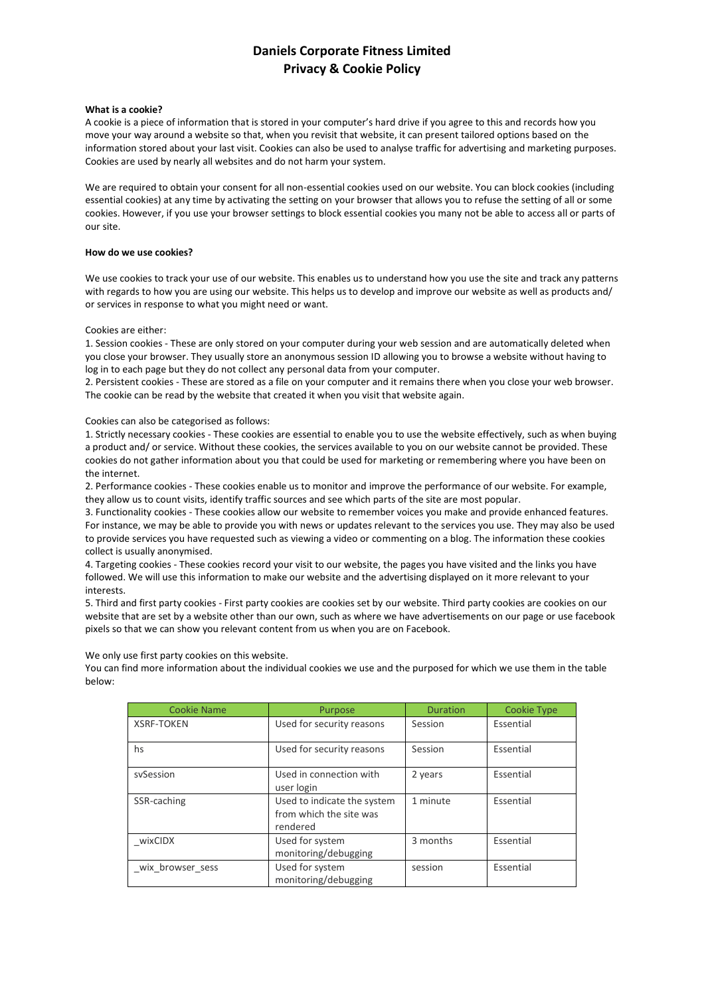## **Daniels Corporate Fitness Limited Privacy & Cookie Policy**

## **What is a cookie?**

A cookie is a piece of information that is stored in your computer's hard drive if you agree to this and records how you move your way around a website so that, when you revisit that website, it can present tailored options based on the information stored about your last visit. Cookies can also be used to analyse traffic for advertising and marketing purposes. Cookies are used by nearly all websites and do not harm your system.

We are required to obtain your consent for all non-essential cookies used on our website. You can block cookies (including essential cookies) at any time by activating the setting on your browser that allows you to refuse the setting of all or some cookies. However, if you use your browser settings to block essential cookies you many not be able to access all or parts of our site.

## **How do we use cookies?**

We use cookies to track your use of our website. This enables us to understand how you use the site and track any patterns with regards to how you are using our website. This helps us to develop and improve our website as well as products and/ or services in response to what you might need or want.

Cookies are either:

1. Session cookies - These are only stored on your computer during your web session and are automatically deleted when you close your browser. They usually store an anonymous session ID allowing you to browse a website without having to log in to each page but they do not collect any personal data from your computer.

2. Persistent cookies - These are stored as a file on your computer and it remains there when you close your web browser. The cookie can be read by the website that created it when you visit that website again.

Cookies can also be categorised as follows:

1. Strictly necessary cookies - These cookies are essential to enable you to use the website effectively, such as when buying a product and/ or service. Without these cookies, the services available to you on our website cannot be provided. These cookies do not gather information about you that could be used for marketing or remembering where you have been on the internet.

2. Performance cookies - These cookies enable us to monitor and improve the performance of our website. For example, they allow us to count visits, identify traffic sources and see which parts of the site are most popular.

3. Functionality cookies - These cookies allow our website to remember voices you make and provide enhanced features. For instance, we may be able to provide you with news or updates relevant to the services you use. They may also be used to provide services you have requested such as viewing a video or commenting on a blog. The information these cookies collect is usually anonymised.

4. Targeting cookies - These cookies record your visit to our website, the pages you have visited and the links you have followed. We will use this information to make our website and the advertising displayed on it more relevant to your interests.

5. Third and first party cookies - First party cookies are cookies set by our website. Third party cookies are cookies on our website that are set by a website other than our own, such as where we have advertisements on our page or use facebook pixels so that we can show you relevant content from us when you are on Facebook.

We only use first party cookies on this website.

You can find more information about the individual cookies we use and the purposed for which we use them in the table below:

| <b>Cookie Name</b> | Purpose                                                            | <b>Duration</b> | <b>Cookie Type</b> |
|--------------------|--------------------------------------------------------------------|-----------------|--------------------|
| <b>XSRF-TOKEN</b>  | Used for security reasons                                          | Session         | Essential          |
| hs                 | Used for security reasons                                          | Session         | Essential          |
| sySession          | Used in connection with<br>user login                              | 2 years         | Essential          |
| SSR-caching        | Used to indicate the system<br>from which the site was<br>rendered | 1 minute        | Essential          |
| wixCIDX            | Used for system<br>monitoring/debugging                            | 3 months        | Essential          |
| wix browser sess   | Used for system<br>monitoring/debugging                            | session         | Essential          |